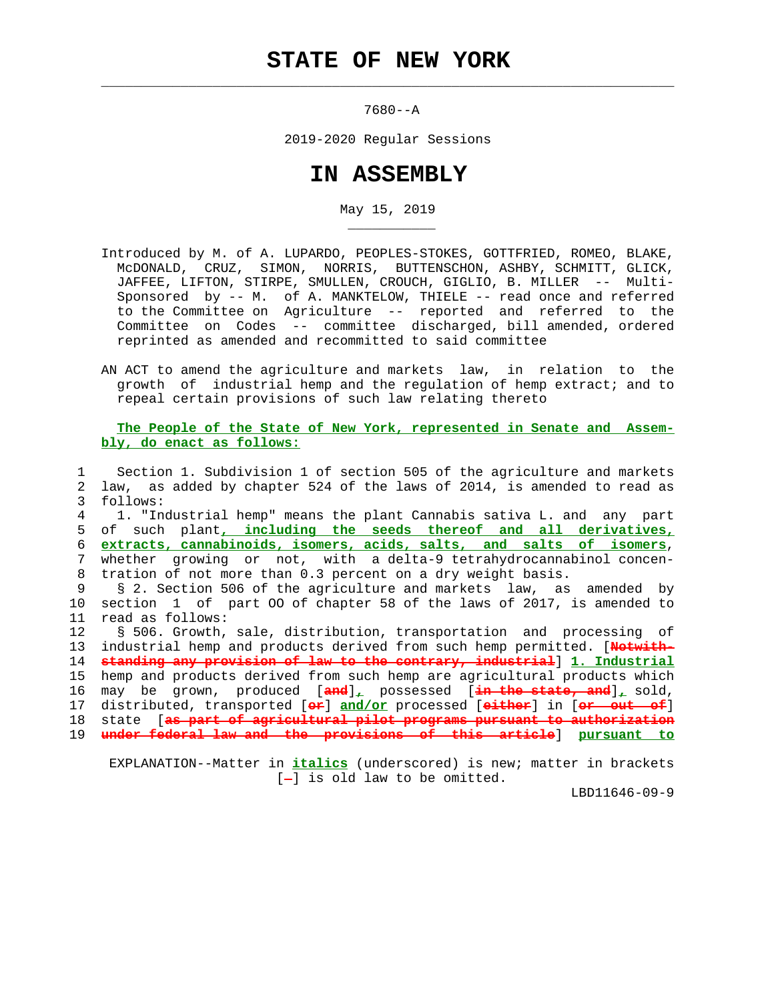$\mathcal{L}_\text{max} = \frac{1}{2} \sum_{i=1}^{n} \frac{1}{2} \sum_{i=1}^{n} \frac{1}{2} \sum_{i=1}^{n} \frac{1}{2} \sum_{i=1}^{n} \frac{1}{2} \sum_{i=1}^{n} \frac{1}{2} \sum_{i=1}^{n} \frac{1}{2} \sum_{i=1}^{n} \frac{1}{2} \sum_{i=1}^{n} \frac{1}{2} \sum_{i=1}^{n} \frac{1}{2} \sum_{i=1}^{n} \frac{1}{2} \sum_{i=1}^{n} \frac{1}{2} \sum_{i=1}^{n} \frac{1$ 

\_\_\_\_\_\_\_\_\_\_\_

7680--A

2019-2020 Regular Sessions

## **IN ASSEMBLY**

May 15, 2019

- Introduced by M. of A. LUPARDO, PEOPLES-STOKES, GOTTFRIED, ROMEO, BLAKE, McDONALD, CRUZ, SIMON, NORRIS, BUTTENSCHON, ASHBY, SCHMITT, GLICK, JAFFEE, LIFTON, STIRPE, SMULLEN, CROUCH, GIGLIO, B. MILLER -- Multi- Sponsored by -- M. of A. MANKTELOW, THIELE -- read once and referred to the Committee on Agriculture -- reported and referred to the Committee on Codes -- committee discharged, bill amended, ordered reprinted as amended and recommitted to said committee
- AN ACT to amend the agriculture and markets law, in relation to the growth of industrial hemp and the regulation of hemp extract; and to repeal certain provisions of such law relating thereto

## **The People of the State of New York, represented in Senate and Assem bly, do enact as follows:**

 1 Section 1. Subdivision 1 of section 505 of the agriculture and markets 2 law, as added by chapter 524 of the laws of 2014, is amended to read as 3 follows: 4 1. "Industrial hemp" means the plant Cannabis sativa L. and any part 5 of such plant**, including the seeds thereof and all derivatives,** 6 **extracts, cannabinoids, isomers, acids, salts, and salts of isomers**, 7 whether growing or not, with a delta-9 tetrahydrocannabinol concen- 8 tration of not more than 0.3 percent on a dry weight basis. 9 § 2. Section 506 of the agriculture and markets law, as amended by 10 section 1 of part OO of chapter 58 of the laws of 2017, is amended to 11 read as follows: 12 § 506. Growth, sale, distribution, transportation and processing of 13 industrial hemp and products derived from such hemp permitted. [**Notwith-** 14 **standing any provision of law to the contrary, industrial**] **1. Industrial** 15 hemp and products derived from such hemp are agricultural products which 16 may be grown, produced [**and**]**,** possessed [**in the state, and**]**,** sold, 17 distributed, transported [**or**] **and/or** processed [**either**] in [**or out of**] 18 state [**as part of agricultural pilot programs pursuant to authorization** 19 **under federal law and the provisions of this article**] **pursuant to**

 EXPLANATION--Matter in **italics** (underscored) is new; matter in brackets  $[-]$  is old law to be omitted.

LBD11646-09-9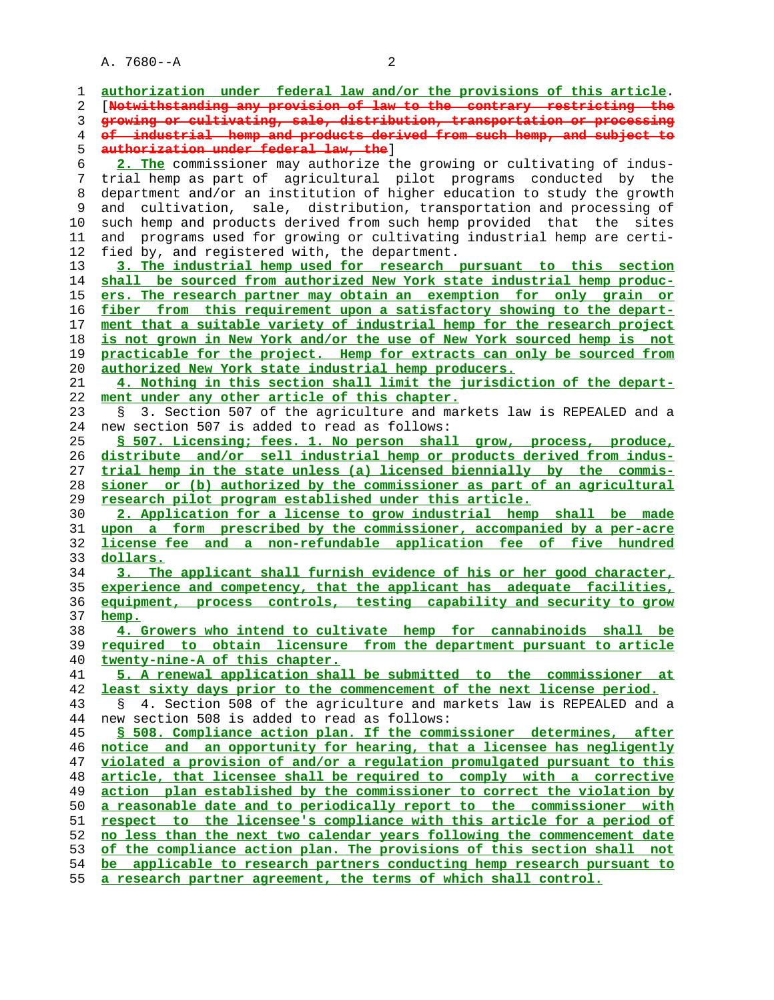| 1        | authorization under federal law and/or the provisions of this article.    |
|----------|---------------------------------------------------------------------------|
| 2        | [Notwithstanding any provision of law to the contrary restricting the     |
| 3        | growing or cultivating, sale, distribution, transportation or processing  |
| 4        | of industrial hemp and products derived from such hemp, and subject to    |
| 5        | authorization under federal law, the ]                                    |
| 6        | 2. The commissioner may authorize the growing or cultivating of indus-    |
| 7        | trial hemp as part of agricultural pilot programs conducted by the        |
| 8        | department and/or an institution of higher education to study the growth  |
| 9        | and cultivation, sale, distribution, transportation and processing of     |
| 10       | such hemp and products derived from such hemp provided that the sites     |
| 11       | and programs used for growing or cultivating industrial hemp are certi-   |
| 12       | fied by, and registered with, the department.                             |
| 13       | 3. The industrial hemp used for research pursuant to this section         |
| 14       | shall be sourced from authorized New York state industrial hemp produc-   |
| 15       | ers. The research partner may obtain an exemption for only grain or       |
| 16       | fiber from this requirement upon a satisfactory showing to the depart-    |
| 17       | ment that a suitable variety of industrial hemp for the research project  |
| 18       | is not grown in New York and/or the use of New York sourced hemp is not   |
| 19       | practicable for the project. Hemp for extracts can only be sourced from   |
|          | authorized New York state industrial hemp producers.                      |
| 20       | 4. Nothing in this section shall limit the jurisdiction of the depart-    |
| 21<br>22 | ment under any other article of this chapter.                             |
| 23       | 3. Section 507 of the agriculture and markets law is REPEALED and a       |
| 24       | new section 507 is added to read as follows:                              |
| 25       | § 507. Licensing; fees. 1. No person shall grow, process, produce,        |
|          | distribute and/or sell industrial hemp or products derived from indus-    |
|          | trial hemp in the state unless (a) licensed biennially by the commis-     |
|          | sioner or (b) authorized by the commissioner as part of an agricultural   |
|          | research pilot program established under this article.                    |
| 29<br>30 | 2. Application for a license to grow industrial hemp shall be made        |
| 31       | upon a form prescribed by the commissioner, accompanied by a per-acre     |
|          | license fee and a non-refundable application fee of five hundred          |
|          | dollars.                                                                  |
|          | 3. The applicant shall furnish evidence of his or her good character,     |
| 34<br>35 | experience and competency, that the applicant has adequate facilities,    |
|          | equipment, process controls, testing capability and security to grow      |
| 36<br>37 | hemp.                                                                     |
| 38       | 4. Growers who intend to cultivate hemp for cannabinoids shall be         |
| 39       | required to obtain licensure from the department pursuant to article      |
| 40       | twenty-nine-A of this chapter.                                            |
| 41       | 5. A renewal application shall be submitted to the commissioner at        |
|          | least sixty days prior to the commencement of the next license period.    |
| 42<br>43 | 4. Section 508 of the agriculture and markets law is REPEALED and a<br>S. |
| 44       | new section 508 is added to read as follows:                              |
| 45       | § 508. Compliance action plan. If the commissioner determines, after      |
| 46       | notice and an opportunity for hearing, that a licensee has negligently    |
| 47       | violated a provision of and/or a regulation promulgated pursuant to this  |
| 48       | article, that licensee shall be required to comply with a corrective      |
| 49       | action plan established by the commissioner to correct the violation by   |
| 50       | a reasonable date and to periodically report to the commissioner with     |
| 51       | respect to the licensee's compliance with this article for a period of    |
| 52       | no less than the next two calendar years following the commencement date  |
|          | of the compliance action plan. The provisions of this section shall not   |
| 53       | be applicable to research partners conducting hemp research pursuant to   |
| 54       | a research partner agreement, the terms of which shall control.           |
| 55       |                                                                           |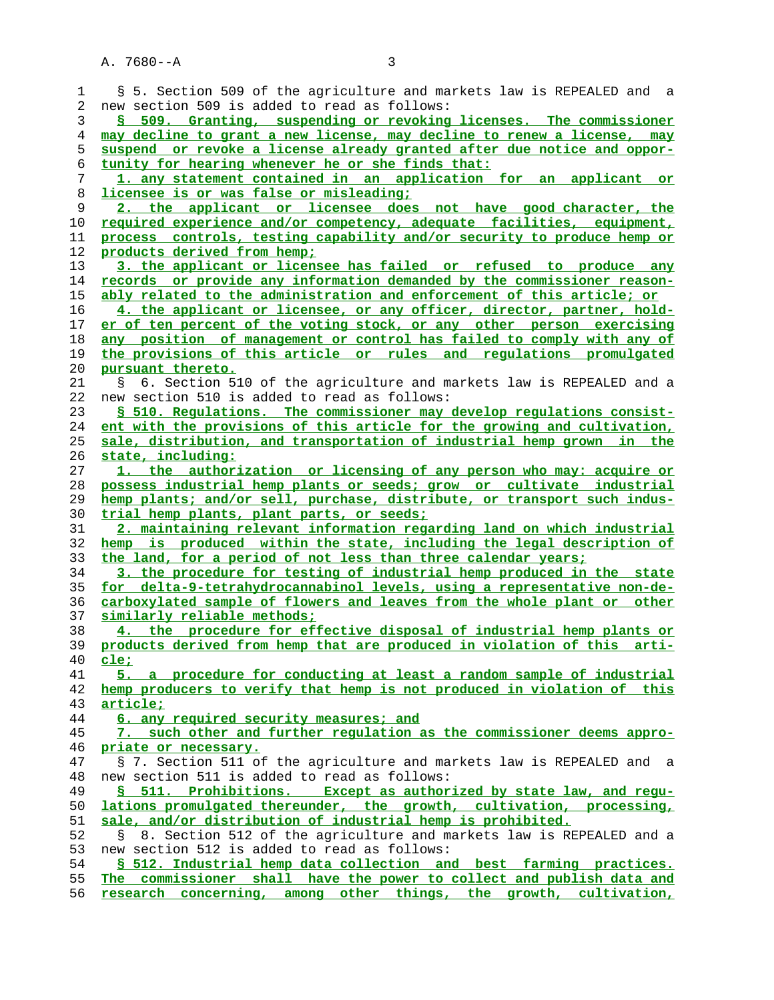$A. 7680 - A$ 

| ٠ |   |  |
|---|---|--|
|   |   |  |
|   |   |  |
|   |   |  |
|   | I |  |

| 1  | § 5. Section 509 of the agriculture and markets law is REPEALED and a              |
|----|------------------------------------------------------------------------------------|
| 2  | new section 509 is added to read as follows:                                       |
| 3  | § 509. Granting, suspending or revoking licenses. The commissioner                 |
| 4  | may decline to grant a new license, may decline to renew a license, may            |
| 5  | suspend or revoke a license already granted after due notice and oppor-            |
| 6  | tunity for hearing whenever he or she finds that:                                  |
| 7  | 1. any statement contained in an application for an applicant or                   |
| 8  | licensee is or was false or misleading;                                            |
| 9  | 2. the applicant or licensee does not have good character, the                     |
|    |                                                                                    |
| 10 | required experience and/or competency, adequate facilities, equipment,             |
| 11 | process controls, testing capability and/or security to produce hemp or            |
| 12 | products derived from hemp;                                                        |
| 13 | 3. the applicant or licensee has failed or refused to produce any                  |
| 14 | records or provide any information demanded by the commissioner reason-            |
| 15 | ably related to the administration and enforcement of this article; or             |
| 16 | 4. the applicant or licensee, or any officer, director, partner, hold-             |
| 17 | er of ten percent of the voting stock, or any other person exercising              |
| 18 | any position of management or control has failed to comply with any of             |
| 19 | the provisions of this article or rules and regulations promulgated                |
| 20 | pursuant thereto.                                                                  |
| 21 | 6. Section 510 of the agriculture and markets law is REPEALED and a<br>$S_{\rm c}$ |
| 22 | new section 510 is added to read as follows:                                       |
| 23 | § 510. Regulations. The commissioner may develop regulations consist-              |
| 24 | ent with the provisions of this article for the growing and cultivation,           |
| 25 | sale, distribution, and transportation of industrial hemp grown in the             |
| 26 | state, including:                                                                  |
|    |                                                                                    |
| 27 | 1. the authorization or licensing of any person who may: acquire or                |
| 28 | possess industrial hemp plants or seeds; grow or cultivate industrial              |
| 29 | hemp plants; and/or sell, purchase, distribute, or transport such indus-           |
| 30 | trial hemp plants, plant parts, or seeds;                                          |
| 31 | 2. maintaining relevant information regarding land on which industrial             |
| 32 | hemp is produced within the state, including the legal description of              |
| 33 | the land, for a period of not less than three calendar years;                      |
| 34 | 3. the procedure for testing of industrial hemp produced in the state              |
| 35 | for delta-9-tetrahydrocannabinol levels, using a representative non-de-            |
| 36 | carboxylated sample of flowers and leaves from the whole plant or other            |
| 37 | similarly reliable methods;                                                        |
| 38 | 4. the procedure for effective disposal of industrial hemp plants or               |
| 39 | products derived from hemp that are produced in violation of this<br>arti-         |
| 40 | <u>cle;</u>                                                                        |
| 41 | 5. a procedure for conducting at least a random sample of industrial               |
| 42 | hemp producers to verify that hemp is not produced in violation of this            |
| 43 | article;                                                                           |
| 44 | 6. any required security measures; and                                             |
| 45 | 7. such other and further regulation as the commissioner deems appro-              |
| 46 | priate or necessary.                                                               |
|    |                                                                                    |
| 47 | § 7. Section 511 of the agriculture and markets law is REPEALED and a              |
| 48 | new section 511 is added to read as follows:                                       |
| 49 | § 511. Prohibitions. Except as authorized by state law, and requ-                  |
| 50 | lations promulgated thereunder, the growth, cultivation, processing,               |
| 51 | sale, and/or distribution of industrial hemp is prohibited.                        |
| 52 | 8. Section 512 of the agriculture and markets law is REPEALED and a<br>S           |
| 53 | new section 512 is added to read as follows:                                       |
| 54 | § 512. Industrial hemp data collection and best farming practices.                 |
| 55 | The commissioner shall have the power to collect and publish data and              |
|    |                                                                                    |

**research concerning, among other things, the growth, cultivation,**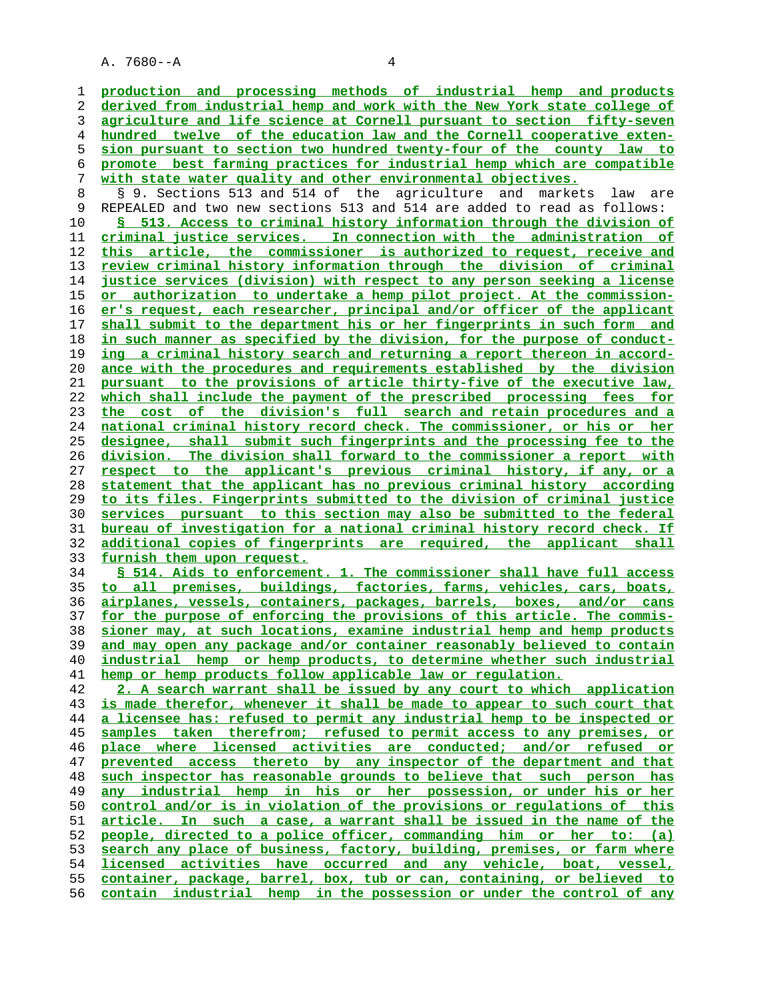**production and processing methods of industrial hemp and products derived from industrial hemp and work with the New York state college of agriculture and life science at Cornell pursuant to section fifty-seven hundred twelve of the education law and the Cornell cooperative exten- sion pursuant to section two hundred twenty-four of the county law to promote best farming practices for industrial hemp which are compatible with state water quality and other environmental objectives.** 8 § 9. Sections 513 and 514 of the agriculture and markets law are<br>9 REPEALED and two new sections 513 and 514 are added to read as follows: REPEALED and two new sections 513 and 514 are added to read as follows: **§ 513. Access to criminal history information through the division of criminal justice services. In connection with the administration of this article, the commissioner is authorized to request, receive and review criminal history information through the division of criminal justice services (division) with respect to any person seeking a license or authorization to undertake a hemp pilot project. At the commission- er's request, each researcher, principal and/or officer of the applicant shall submit to the department his or her fingerprints in such form and in such manner as specified by the division, for the purpose of conduct- ing a criminal history search and returning a report thereon in accord- ance with the procedures and requirements established by the division pursuant to the provisions of article thirty-five of the executive law, which shall include the payment of the prescribed processing fees for the cost of the division's full search and retain procedures and a national criminal history record check. The commissioner, or his or her designee, shall submit such fingerprints and the processing fee to the division. The division shall forward to the commissioner a report with respect to the applicant's previous criminal history, if any, or a statement that the applicant has no previous criminal history according to its files. Fingerprints submitted to the division of criminal justice services pursuant to this section may also be submitted to the federal bureau of investigation for a national criminal history record check. If additional copies of fingerprints are required, the applicant shall furnish them upon request. § 514. Aids to enforcement. 1. The commissioner shall have full access to all premises, buildings, factories, farms, vehicles, cars, boats, airplanes, vessels, containers, packages, barrels, boxes, and/or cans for the purpose of enforcing the provisions of this article. The commis- sioner may, at such locations, examine industrial hemp and hemp products and may open any package and/or container reasonably believed to contain industrial hemp or hemp products, to determine whether such industrial hemp or hemp products follow applicable law or regulation. 2. A search warrant shall be issued by any court to which application is made therefor, whenever it shall be made to appear to such court that a licensee has: refused to permit any industrial hemp to be inspected or samples taken therefrom; refused to permit access to any premises, or place where licensed activities are conducted; and/or refused or prevented access thereto by any inspector of the department and that such inspector has reasonable grounds to believe that such person has any industrial hemp in his or her possession, or under his or her control and/or is in violation of the provisions or regulations of this article. In such a case, a warrant shall be issued in the name of the people, directed to a police officer, commanding him or her to: (a) search any place of business, factory, building, premises, or farm where licensed activities have occurred and any vehicle, boat, vessel, container, package, barrel, box, tub or can, containing, or believed to**

**contain industrial hemp in the possession or under the control of any**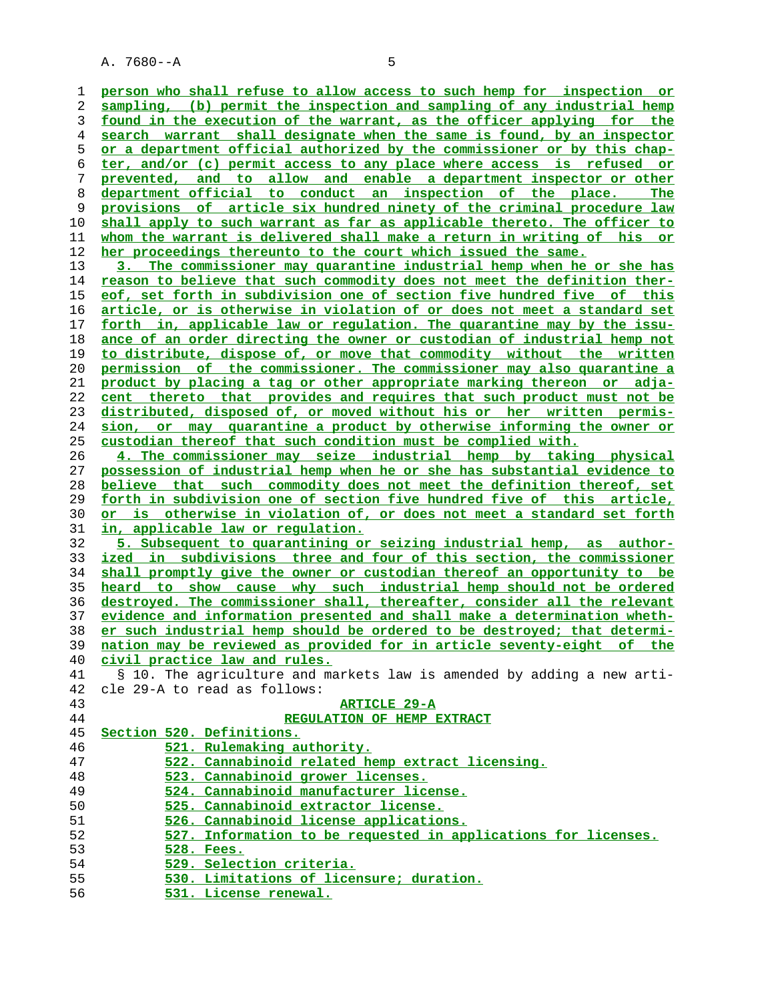| 1  | person who shall refuse to allow access to such hemp for inspection or          |
|----|---------------------------------------------------------------------------------|
| 2  | sampling, (b) permit the inspection and sampling of any industrial hemp         |
|    |                                                                                 |
| 3  | found in the execution of the warrant, as the officer applying for the          |
| 4  | search warrant shall designate when the same is found, by an inspector          |
| 5  | <u>or a department official authorized by the commissioner or by this chap-</u> |
| 6  | ter, and/or (c) permit access to any place where access is refused or           |
| 7  | prevented, and to allow and enable a department inspector or other              |
| 8  | department official to conduct an inspection of the place.<br>The               |
| 9  | provisions of article six hundred ninety of the criminal procedure law          |
| 10 | shall apply to such warrant as far as applicable thereto. The officer to        |
| 11 | whom the warrant is delivered shall make a return in writing of his or          |
| 12 | her proceedings thereunto to the court which issued the same.                   |
| 13 | 3. The commissioner may quarantine industrial hemp when he or she has           |
| 14 | reason to believe that such commodity does not meet the definition ther-        |
| 15 | eof, set forth in subdivision one of section five hundred five of this          |
| 16 | article, or is otherwise in violation of or does not meet a standard set        |
| 17 | forth in, applicable law or requlation. The quarantine may by the issu-         |
| 18 | ance of an order directing the owner or custodian of industrial hemp not        |
| 19 | to distribute, dispose of, or move that commodity without the written           |
| 20 | permission of the commissioner. The commissioner may also quarantine a          |
| 21 | product by placing a tag or other appropriate marking thereon or adja-          |
| 22 | cent thereto that provides and requires that such product must not be           |
| 23 | distributed, disposed of, or moved without his or her written permis-           |
|    | sion, or may quarantine a product by otherwise informing the owner or           |
| 24 | custodian thereof that such condition must be complied with.                    |
| 25 |                                                                                 |
| 26 | 4. The commissioner may seize industrial hemp by taking physical                |
| 27 | possession of industrial hemp when he or she has substantial evidence to        |
| 28 | believe that such commodity does not meet the definition thereof, set           |
| 29 | forth in subdivision one of section five hundred five of this article,          |
| 30 | or is otherwise in violation of, or does not meet a standard set forth          |
| 31 | in, applicable law or regulation.                                               |
| 32 | 5. Subsequent to quarantining or seizing industrial hemp, as author-            |
| 33 | ized in subdivisions three and four of this section, the commissioner           |
| 34 | shall promptly give the owner or custodian thereof an opportunity to be         |
| 35 | heard to show cause why such industrial hemp should not be ordered              |
| 36 | destroyed. The commissioner shall, thereafter, consider all the relevant        |
| 37 | evidence and information presented and shall make a determination wheth-        |
| 38 | er such industrial hemp should be ordered to be destroyed; that determi-        |
| 39 | nation may be reviewed as provided for in article seventy-eight of the          |
| 40 | civil practice law and rules.                                                   |
| 41 | § 10. The agriculture and markets law is amended by adding a new arti-          |
| 42 | cle 29-A to read as follows:                                                    |
| 43 | <b>ARTICLE 29-A</b>                                                             |
| 44 | REGULATION OF HEMP EXTRACT                                                      |
| 45 | Section 520. Definitions.                                                       |
| 46 | 521. Rulemaking authority.                                                      |
| 47 | 522. Cannabinoid related hemp extract licensing.                                |
| 48 | 523. Cannabinoid grower licenses.                                               |
| 49 | 524. Cannabinoid manufacturer license.                                          |
| 50 | 525. Cannabinoid extractor license.                                             |
| 51 | 526. Cannabinoid license applications.                                          |
| 52 | 527. Information to be requested in applications for licenses.                  |
| 53 | 528. Fees.                                                                      |
| 54 | 529. Selection criteria.                                                        |
| 55 |                                                                                 |
| 56 | 530. Limitations of licensure; duration.<br>531. License renewal.               |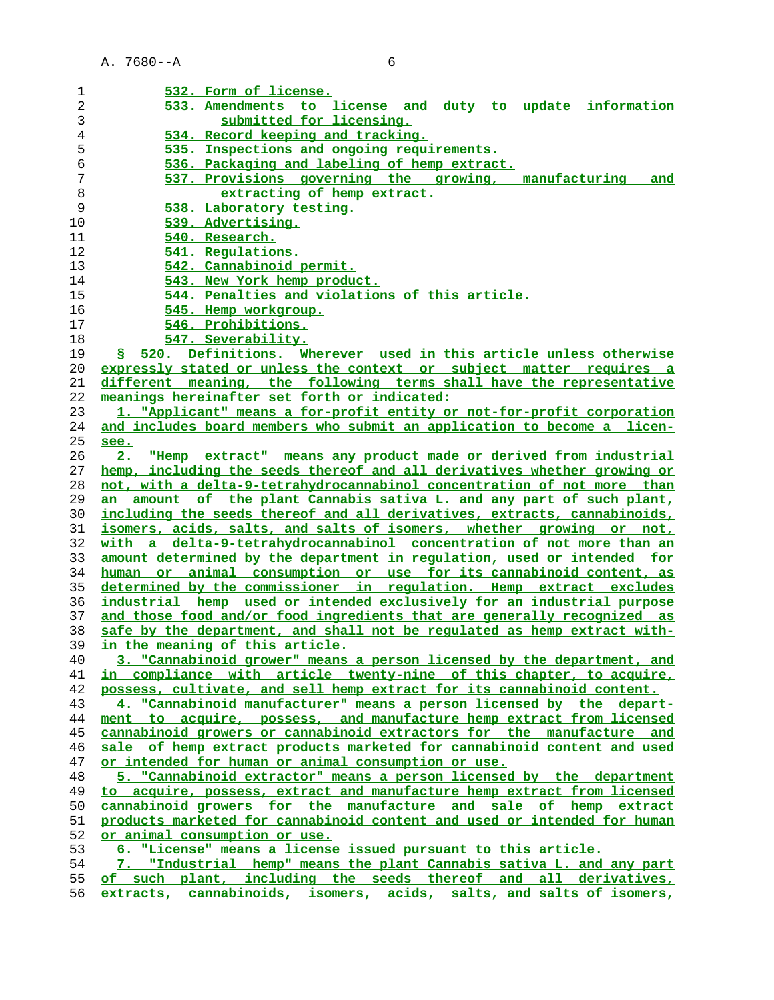| 1  | 532. Form of license.                                                    |
|----|--------------------------------------------------------------------------|
| 2  | 533. Amendments to license and duty to update information                |
| 3  | submitted for licensing.                                                 |
| 4  | 534. Record keeping and tracking.                                        |
| 5  | 535. Inspections and ongoing requirements.                               |
| 6  | 536. Packaging and labeling of hemp extract.                             |
| 7  | 537. Provisions governing the growing, manufacturing<br>and              |
| 8  | extracting of hemp extract.                                              |
| 9  | 538. Laboratory testing.                                                 |
| 10 | 539. Advertising.                                                        |
| 11 | 540. Research.                                                           |
| 12 | 541. Regulations.                                                        |
| 13 | 542. Cannabinoid permit.                                                 |
| 14 | 543. New York hemp product.                                              |
| 15 | 544. Penalties and violations of this article.                           |
| 16 | 545. Hemp workgroup.                                                     |
| 17 | 546. Prohibitions.                                                       |
| 18 | 547. Severability.                                                       |
| 19 | § 520. Definitions. Wherever used in this article unless otherwise       |
| 20 | expressly stated or unless the context or subject matter requires a      |
| 21 | different meaning, the following terms shall have the representative     |
| 22 | meanings hereinafter set forth or indicated:                             |
| 23 | 1. "Applicant" means a for-profit entity or not-for-profit corporation   |
| 24 | and includes board members who submit an application to become a licen-  |
| 25 | see.                                                                     |
| 26 | 2. "Hemp extract" means any product made or derived from industrial      |
| 27 | hemp, including the seeds thereof and all derivatives whether growing or |
| 28 | not, with a delta-9-tetrahydrocannabinol concentration of not more than  |
| 29 | an amount of the plant Cannabis sativa L. and any part of such plant,    |
| 30 | including the seeds thereof and all derivatives, extracts, cannabinoids, |
| 31 | isomers, acids, salts, and salts of isomers, whether growing or not,     |
| 32 | with a delta-9-tetrahydrocannabinol concentration of not more than an    |
| 33 | amount determined by the department in regulation, used or intended for  |
| 34 | human or animal consumption or use for its cannabinoid content, as       |
| 35 | determined by the commissioner in requlation. Hemp extract excludes      |
| 36 | industrial hemp used or intended exclusively for an industrial purpose   |
| 37 | and those food and/or food ingredients that are generally recognized as  |
| 38 | safe by the department, and shall not be regulated as hemp extract with- |
|    | 39 in the meaning of this article.                                       |
| 40 | 3. "Cannabinoid grower" means a person licensed by the department, and   |
| 41 | in compliance with article twenty-nine of this chapter, to acquire,      |
| 42 | possess, cultivate, and sell hemp extract for its cannabinoid content.   |
| 43 | 4. "Cannabinoid manufacturer" means a person licensed by the depart-     |
| 44 | ment to acquire, possess, and manufacture hemp extract from licensed     |
| 45 | cannabinoid growers or cannabinoid extractors for the manufacture and    |
| 46 | sale of hemp extract products marketed for cannabinoid content and used  |
| 47 | or intended for human or animal consumption or use.                      |
| 48 | 5. "Cannabinoid extractor" means a person licensed by the department     |
| 49 | to acquire, possess, extract and manufacture hemp extract from licensed  |
| 50 | cannabinoid growers for the manufacture and sale of hemp extract         |
| 51 | products marketed for cannabinoid content and used or intended for human |
| 52 | or animal consumption or use.                                            |
| 53 | 6. "License" means a license issued pursuant to this article.            |
| 54 | 7. "Industrial hemp" means the plant Cannabis sativa L. and any part     |
| 55 | of such plant, including the seeds thereof and all derivatives,          |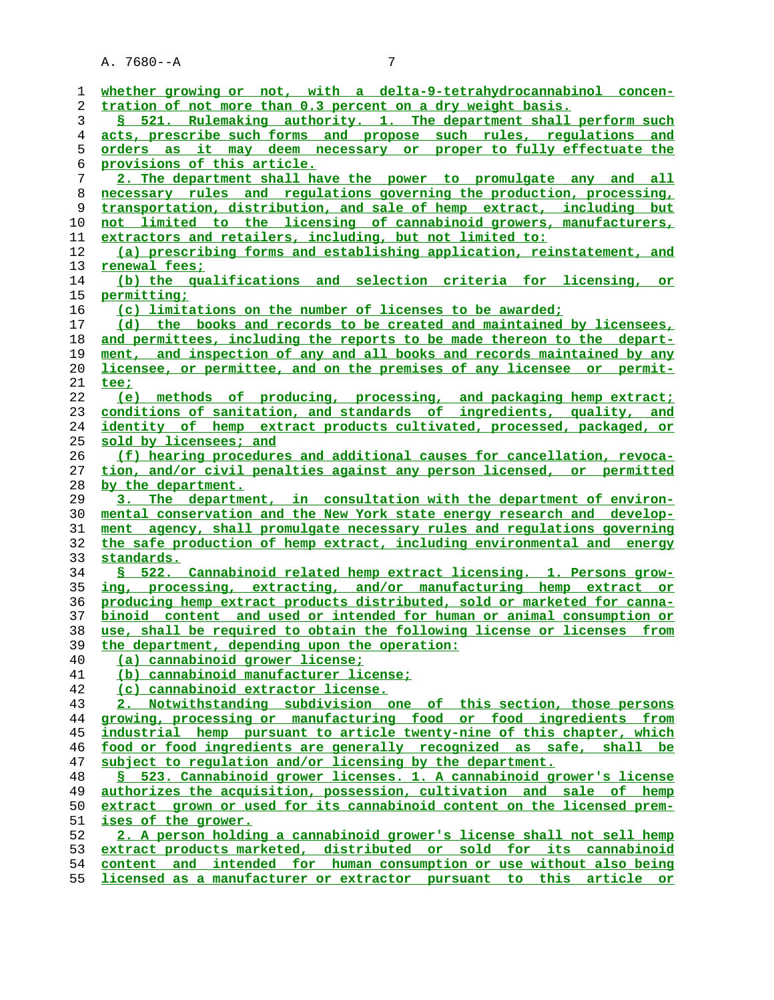| whether growing or not, with a delta-9-tetrahydrocannabinol concen-<br>tration of not more than 0.3 percent on a dry weight basis.         |
|--------------------------------------------------------------------------------------------------------------------------------------------|
| § 521. Rulemaking authority. 1. The department shall perform such                                                                          |
| acts, prescribe such forms and propose such rules, requlations and                                                                         |
| <u>orders as it may deem necessary or proper to fully effectuate the</u>                                                                   |
| provisions of this article.                                                                                                                |
| 2. The department shall have the power to promulgate any and all                                                                           |
| necessary rules and regulations governing the production, processing,                                                                      |
| transportation, distribution, and sale of hemp extract, including but                                                                      |
| not limited to the licensing of cannabinoid growers, manufacturers,                                                                        |
| extractors and retailers, including, but not limited to:                                                                                   |
| (a) prescribing forms and establishing application, reinstatement, and                                                                     |
| renewal fees;                                                                                                                              |
| (b) the qualifications and selection criteria for licensing, or                                                                            |
| permitting;                                                                                                                                |
| (c) limitations on the number of licenses to be awarded;                                                                                   |
| (d) the books and records to be created and maintained by licensees,                                                                       |
| and permittees, including the reports to be made thereon to the depart-                                                                    |
| ment, and inspection of any and all books and records maintained by any                                                                    |
| licensee, or permittee, and on the premises of any licensee or permit-                                                                     |
| tee;                                                                                                                                       |
| (e) methods of producing, processing, and packaging hemp extract;                                                                          |
| conditions of sanitation, and standards of ingredients, quality, and                                                                       |
| identity of hemp extract products cultivated, processed, packaged, or                                                                      |
| sold by licensees; and                                                                                                                     |
| (f) hearing procedures and additional causes for cancellation, revoca-                                                                     |
| tion, and/or civil penalties against any person licensed, or permitted                                                                     |
| by the department.                                                                                                                         |
| 3. The department, in consultation with the department of environ-                                                                         |
|                                                                                                                                            |
| mental conservation and the New York state energy research and develop-                                                                    |
| ment agency, shall promulgate necessary rules and regulations governing                                                                    |
| the safe production of hemp extract, including environmental and energy                                                                    |
| standards.                                                                                                                                 |
| § 522. Cannabinoid related hemp extract licensing. 1. Persons grow-                                                                        |
| ing, processing, extracting, and/or manufacturing hemp extract or                                                                          |
| producing hemp extract products distributed, sold or marketed for canna-                                                                   |
| binoid content and used or intended for human or animal consumption or                                                                     |
| use, shall be required to obtain the following license or licenses from                                                                    |
| the department, depending upon the operation:                                                                                              |
| (a) cannabinoid grower license;                                                                                                            |
| (b) cannabinoid manufacturer license;                                                                                                      |
| (c) cannabinoid extractor license.                                                                                                         |
| 2. Notwithstanding subdivision one of this section, those persons                                                                          |
| growing, processing or manufacturing food or food ingredients from                                                                         |
| industrial hemp pursuant to article twenty-nine of this chapter, which                                                                     |
| food or food ingredients are generally recognized as safe, shall be                                                                        |
| subject to requlation and/or licensing by the department.                                                                                  |
| § 523. Cannabinoid grower licenses. 1. A cannabinoid grower's license                                                                      |
| authorizes the acquisition, possession, cultivation and sale of hemp                                                                       |
| extract grown or used for its cannabinoid content on the licensed prem-                                                                    |
| ises of the grower.                                                                                                                        |
| 2. A person holding a cannabinoid grower's license shall not sell hemp                                                                     |
| extract products marketed, distributed or sold for its cannabinoid<br>content and intended for human consumption or use without also being |

**licensed as a manufacturer or extractor pursuant to this article or**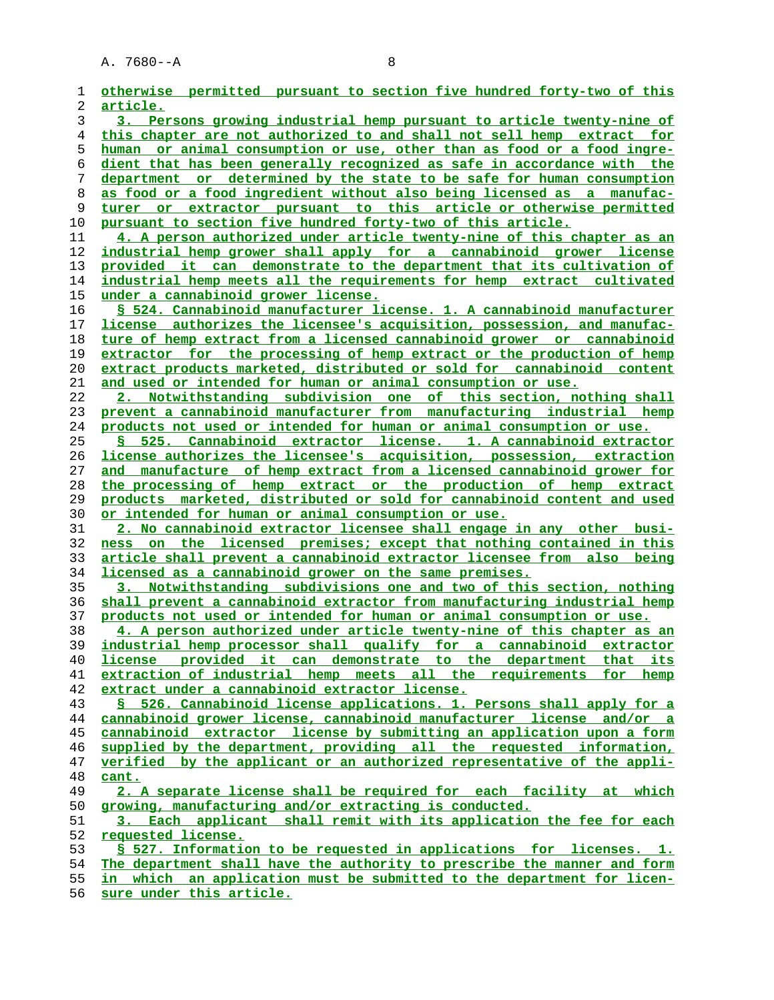| 1        | otherwise permitted pursuant to section five hundred forty-two of this                                                                     |
|----------|--------------------------------------------------------------------------------------------------------------------------------------------|
| 2        | <u>article.</u>                                                                                                                            |
| 3        | 3. Persons growing industrial hemp pursuant to article twenty-nine of                                                                      |
| 4        | this chapter are not authorized to and shall not sell hemp extract for                                                                     |
| 5        | human or animal consumption or use, other than as food or a food ingre-                                                                    |
| 6        | dient that has been generally recognized as safe in accordance with the                                                                    |
| 7        | department or determined by the state to be safe for human consumption                                                                     |
| 8        | as food or a food ingredient without also being licensed as a manufac-                                                                     |
| 9        | turer or extractor pursuant to this article or otherwise permitted                                                                         |
| 10       | pursuant to section five hundred forty-two of this article.                                                                                |
| 11       | 4. A person authorized under article twenty-nine of this chapter as an                                                                     |
| 12       | industrial hemp grower shall apply for a cannabinoid grower license                                                                        |
| 13       | provided it can demonstrate to the department that its cultivation of                                                                      |
| 14       | industrial hemp meets all the requirements for hemp extract cultivated                                                                     |
| 15       | under a cannabinoid grower license.                                                                                                        |
| 16       | § 524. Cannabinoid manufacturer license. 1. A cannabinoid manufacturer                                                                     |
| 17       | license authorizes the licensee's acquisition, possession, and manufac-                                                                    |
| 18       | ture of hemp extract from a licensed cannabinoid grower or cannabinoid                                                                     |
| 19       | extractor for the processing of hemp extract or the production of hemp                                                                     |
| 20       | extract products marketed, distributed or sold for cannabinoid content                                                                     |
| 21       | and used or intended for human or animal consumption or use.                                                                               |
| 22<br>23 | 2. Notwithstanding subdivision one of this section, nothing shall<br>prevent a cannabinoid manufacturer from manufacturing industrial hemp |
| 24       | products not used or intended for human or animal consumption or use.                                                                      |
| 25       | § 525. Cannabinoid extractor license. 1. A cannabinoid extractor                                                                           |
| 26       | license authorizes the licensee's acquisition, possession, extraction                                                                      |
| 27       | and manufacture of hemp extract from a licensed cannabinoid grower for                                                                     |
| 28       | the processing of hemp extract or the production of hemp extract                                                                           |
| 29       | products marketed, distributed or sold for cannabinoid content and used                                                                    |
| 30       | or intended for human or animal consumption or use.                                                                                        |
| 31       | 2. No cannabinoid extractor licensee shall engage in any other busi-                                                                       |
| 32       | on the licensed premises; except that nothing contained in this<br>ness                                                                    |
| 33       | article shall prevent a cannabinoid extractor licensee from also being                                                                     |
| 34       | licensed as a cannabinoid grower on the same premises.                                                                                     |
| 35       | 3. Notwithstanding subdivisions one and two of this section, nothing                                                                       |
| 36       | shall prevent a cannabinoid extractor from manufacturing industrial hemp                                                                   |
| 37       | products not used or intended for human or animal consumption or use.                                                                      |
| 38       | 4. A person authorized under article twenty-nine of this chapter as an                                                                     |
| 39       | industrial hemp processor shall qualify for a cannabinoid extractor                                                                        |
| 40       | license provided it can demonstrate to the department that its                                                                             |
| 41       | extraction of industrial hemp meets all the requirements for hemp                                                                          |
| 42       | extract under a cannabinoid extractor license.                                                                                             |
| 43       | § 526. Cannabinoid license applications. 1. Persons shall apply for a                                                                      |
| 44       | cannabinoid grower license, cannabinoid manufacturer license and/or a                                                                      |
| 45       | cannabinoid extractor license by submitting an application upon a form                                                                     |
| 46       | supplied by the department, providing all the requested information,                                                                       |
| 47       | verified by the applicant or an authorized representative of the appli-                                                                    |
| 48       | cant.                                                                                                                                      |
| 49       | 2. A separate license shall be required for each facility at which                                                                         |
| 50       | growing, manufacturing and/or extracting is conducted.                                                                                     |
| 51       | 3. Each applicant shall remit with its application the fee for each                                                                        |
| 52<br>53 | requested license.<br>§ 527. Information to be requested in applications for licenses. 1.                                                  |
|          | The department shall have the authority to prescribe the manner and form                                                                   |
| 54<br>55 | in which an application must be submitted to the department for licen-                                                                     |
| 56       | sure under this article.                                                                                                                   |
|          |                                                                                                                                            |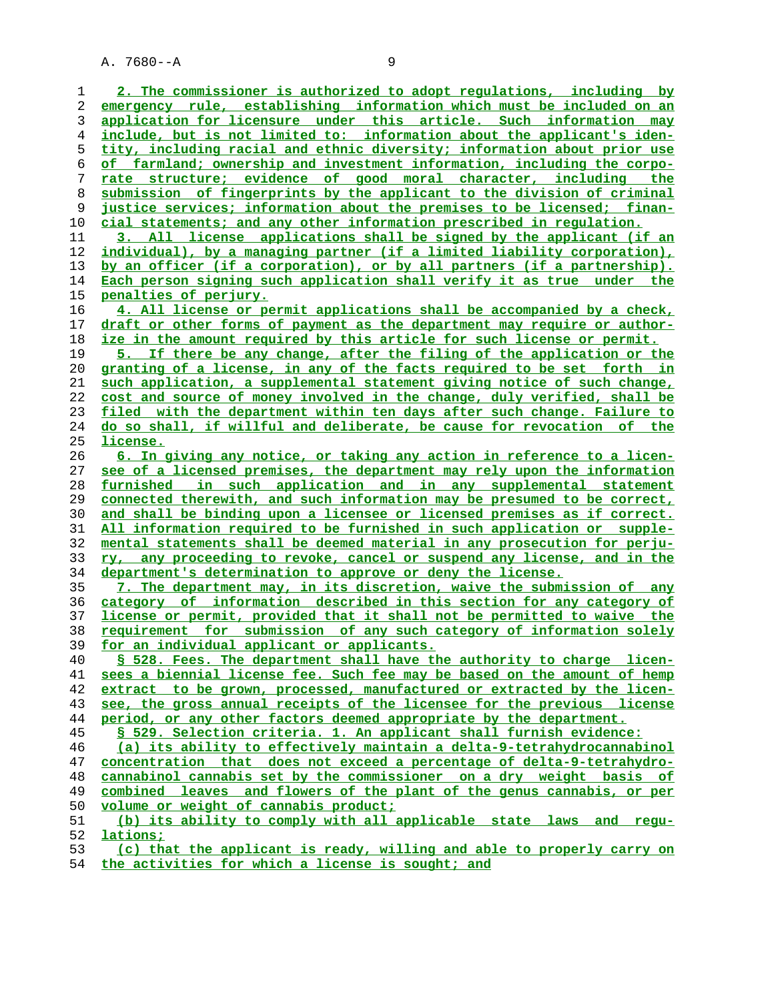**2. The commissioner is authorized to adopt regulations, including by emergency rule, establishing information which must be included on an application for licensure under this article. Such information may include, but is not limited to: information about the applicant's iden- tity, including racial and ethnic diversity; information about prior use of farmland; ownership and investment information, including the corpo- rate structure; evidence of good moral character, including the submission of fingerprints by the applicant to the division of criminal justice services; information about the premises to be licensed; finan- cial statements; and any other information prescribed in regulation. 3. All license applications shall be signed by the applicant (if an individual), by a managing partner (if a limited liability corporation), by an officer (if a corporation), or by all partners (if a partnership). Each person signing such application shall verify it as true under the penalties of perjury. 4. All license or permit applications shall be accompanied by a check, draft or other forms of payment as the department may require or author- ize in the amount required by this article for such license or permit. 5. If there be any change, after the filing of the application or the granting of a license, in any of the facts required to be set forth in such application, a supplemental statement giving notice of such change, cost and source of money involved in the change, duly verified, shall be filed with the department within ten days after such change. Failure to do so shall, if willful and deliberate, be cause for revocation of the license. 6. In giving any notice, or taking any action in reference to a licen- see of a licensed premises, the department may rely upon the information furnished in such application and in any supplemental statement connected therewith, and such information may be presumed to be correct, and shall be binding upon a licensee or licensed premises as if correct. All information required to be furnished in such application or supple- mental statements shall be deemed material in any prosecution for perju- ry, any proceeding to revoke, cancel or suspend any license, and in the department's determination to approve or deny the license. 7. The department may, in its discretion, waive the submission of any category of information described in this section for any category of license or permit, provided that it shall not be permitted to waive the requirement for submission of any such category of information solely for an individual applicant or applicants. § 528. Fees. The department shall have the authority to charge licen- sees a biennial license fee. Such fee may be based on the amount of hemp extract to be grown, processed, manufactured or extracted by the licen- see, the gross annual receipts of the licensee for the previous license period, or any other factors deemed appropriate by the department. § 529. Selection criteria. 1. An applicant shall furnish evidence: (a) its ability to effectively maintain a delta-9-tetrahydrocannabinol concentration that does not exceed a percentage of delta-9-tetrahydro- cannabinol cannabis set by the commissioner on a dry weight basis of combined leaves and flowers of the plant of the genus cannabis, or per volume or weight of cannabis product; (b) its ability to comply with all applicable state laws and regu- lations; (c) that the applicant is ready, willing and able to properly carry on**

**the activities for which a license is sought; and**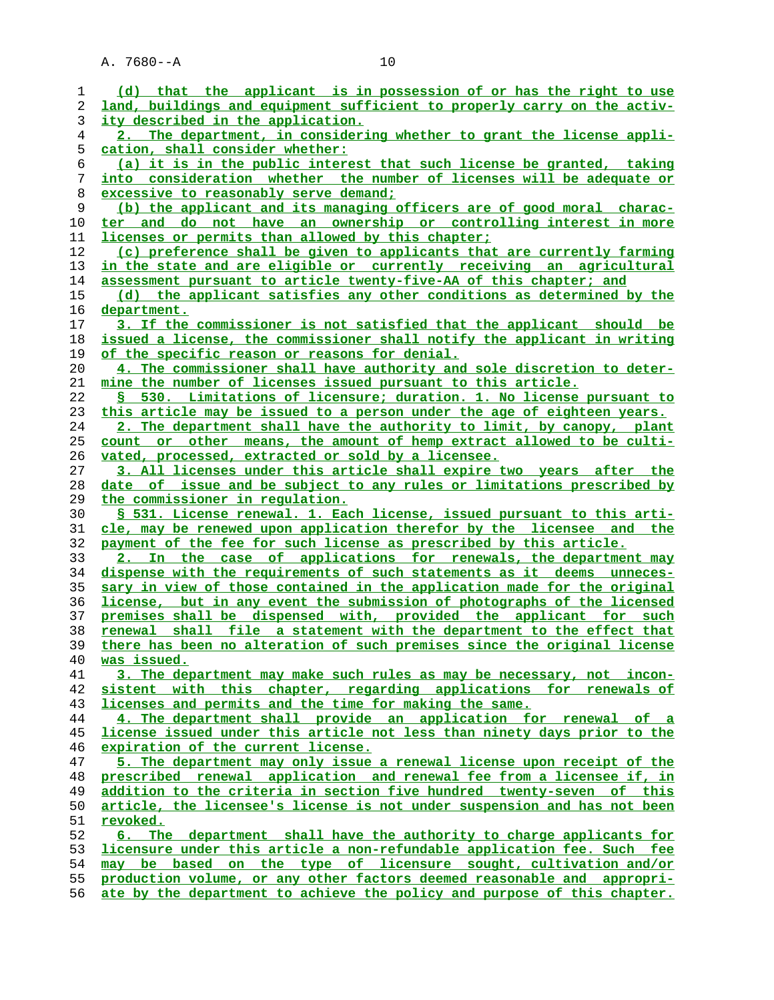| 1  | (d) that the applicant is in possession of or has the right to use           |
|----|------------------------------------------------------------------------------|
| 2  | land, buildings and equipment sufficient to properly carry on the activ-     |
| 3  | ity described in the application.                                            |
| 4  | 2. The department, in considering whether to grant the license appli-        |
| 5  | cation, shall consider whether:                                              |
| 6  | (a) it is in the public interest that such license be granted, taking        |
| 7  | <u>into consideration whether the number of licenses will be adequate or</u> |
| 8  | excessive to reasonably serve demand;                                        |
| 9  | (b) the applicant and its managing officers are of good moral charac-        |
| 10 | ter and do not have an ownership or controlling interest in more             |
| 11 | licenses or permits than allowed by this chapter;                            |
| 12 | (c) preference shall be given to applicants that are currently farming       |
| 13 | in the state and are eligible or currently receiving an agricultural         |
| 14 | assessment pursuant to article twenty-five-AA of this chapter; and           |
| 15 | (d) the applicant satisfies any other conditions as determined by the        |
| 16 | department.                                                                  |
| 17 | 3. If the commissioner is not satisfied that the applicant should be         |
| 18 | issued a license, the commissioner shall notify the applicant in writing     |
| 19 | of the specific reason or reasons for denial.                                |
| 20 | 4. The commissioner shall have authority and sole discretion to deter-       |
| 21 | mine the number of licenses issued pursuant to this article.                 |
| 22 | § 530. Limitations of licensure; duration. 1. No license pursuant to         |
| 23 | this article may be issued to a person under the age of eighteen years.      |
| 24 | 2. The department shall have the authority to limit, by canopy, plant        |
| 25 | count or other means, the amount of hemp extract allowed to be culti-        |
| 26 | vated, processed, extracted or sold by a licensee.                           |
| 27 | 3. All licenses under this article shall expire two years after the          |
| 28 | date of issue and be subject to any rules or limitations prescribed by       |
| 29 | the commissioner in regulation.                                              |
| 30 | S 531. License renewal. 1. Each license, issued pursuant to this arti-       |
| 31 | cle, may be renewed upon application therefor by the licensee and the        |
| 32 | payment of the fee for such license as prescribed by this article.           |
| 33 | 2. In the case of applications for renewals, the department may              |
| 34 | dispense with the requirements of such statements as it deems unneces-       |
| 35 | sary in view of those contained in the application made for the original     |
|    |                                                                              |
| 36 | license, but in any event the submission of photographs of the licensed      |
| 37 | premises shall be dispensed with, provided the applicant for such            |
| 38 | shall file a statement with the department to the effect that<br>renewal     |
| 39 | there has been no alteration of such premises since the original license     |
| 40 | was issued.                                                                  |
| 41 | 3. The department may make such rules as may be necessary, not incon-        |
| 42 | sistent with this chapter, regarding applications for renewals of            |
| 43 | licenses and permits and the time for making the same.                       |
| 44 | 4. The department shall provide an application for renewal of a              |
| 45 | license issued under this article not less than ninety days prior to the     |
| 46 | expiration of the current license.                                           |
| 47 | 5. The department may only issue a renewal license upon receipt of the       |
| 48 | prescribed renewal application and renewal fee from a licensee if, in        |
| 49 | addition to the criteria in section five hundred twenty-seven of this        |

**article, the licensee's license is not under suspension and has not been** 51 **revoked.**<br>52 6. The

**6. The department shall have the authority to charge applicants for licensure under this article a non-refundable application fee. Such fee may be based on the type of licensure sought, cultivation and/or production volume, or any other factors deemed reasonable and appropri- ate by the department to achieve the policy and purpose of this chapter.**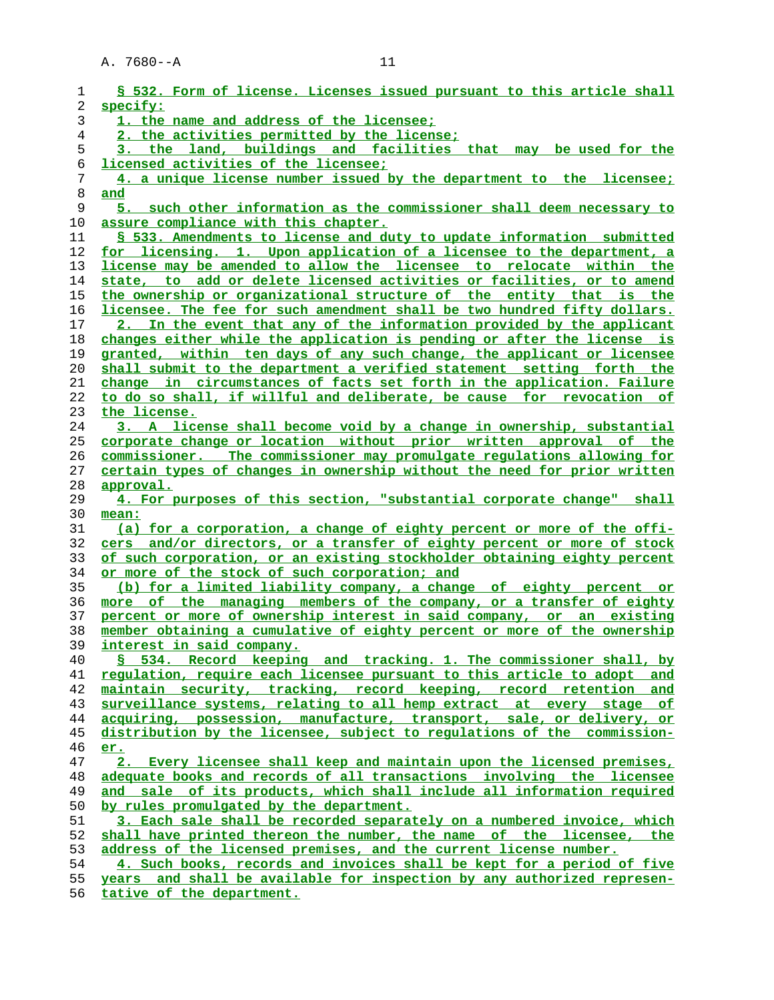| 1        | § 532. Form of license. Licenses issued pursuant to this article shall                                                                    |
|----------|-------------------------------------------------------------------------------------------------------------------------------------------|
| 2        | specify:                                                                                                                                  |
| 3        | 1. the name and address of the licensee;                                                                                                  |
| 4        | 2. the activities permitted by the license;                                                                                               |
| 5        | 3. the land, buildings and facilities that may be used for the                                                                            |
| 6        | licensed activities of the licensee;                                                                                                      |
| 7        | 4. a unique license number issued by the department to the licensee;                                                                      |
| 8        | and                                                                                                                                       |
| 9        | 5. such other information as the commissioner shall deem necessary to                                                                     |
| 10       | assure compliance with this chapter.                                                                                                      |
| 11       | § 533. Amendments to license and duty to update information submitted                                                                     |
| 12       | for licensing. 1. Upon application of a licensee to the department, a                                                                     |
| 13       | license may be amended to allow the licensee to relocate within the                                                                       |
| 14       | state, to add or delete licensed activities or facilities, or to amend                                                                    |
| 15       | the ownership or organizational structure of the entity that is the                                                                       |
| 16       | licensee. The fee for such amendment shall be two hundred fifty dollars.                                                                  |
| 17       | 2. In the event that any of the information provided by the applicant                                                                     |
| 18       | changes either while the application is pending or after the license is                                                                   |
| 19       | granted, within ten days of any such change, the applicant or licensee                                                                    |
| 20       | shall submit to the department a verified statement setting forth the                                                                     |
| 21       | change in circumstances of facts set forth in the application. Failure                                                                    |
| 22       | to do so shall, if willful and deliberate, be cause for revocation of                                                                     |
| 23       | the license.                                                                                                                              |
| 24       | 3. A license shall become void by a change in ownership, substantial                                                                      |
| 25       | corporate change or location without prior written approval of the                                                                        |
| 26       | commissioner. The commissioner may promulgate requlations allowing for                                                                    |
| 27       | certain types of changes in ownership without the need for prior written                                                                  |
| 28       | approval.                                                                                                                                 |
| 29       | 4. For purposes of this section, "substantial corporate change" shall                                                                     |
| 30       | mean:                                                                                                                                     |
| 31       | (a) for a corporation, a change of eighty percent or more of the offi-                                                                    |
| 32       | cers and/or directors, or a transfer of eighty percent or more of stock                                                                   |
| 33       | of such corporation, or an existing stockholder obtaining eighty percent                                                                  |
| 34       | or more of the stock of such corporation; and                                                                                             |
| 35       | (b) for a limited liability company, a change of eighty percent or                                                                        |
| 36       | more of the managing members of the company, or a transfer of eighty                                                                      |
| 37       | percent or more of ownership interest in said company, or an existing                                                                     |
| 38       | member obtaining a cumulative of eighty percent or more of the ownership                                                                  |
| 39       | interest in said company.                                                                                                                 |
| 40       | § 534. Record keeping and tracking. 1. The commissioner shall, by                                                                         |
| 41       | requlation, require each licensee pursuant to this article to adopt and                                                                   |
| 42       | maintain security, tracking, record keeping, record retention and<br>surveillance systems, relating to all hemp extract at every stage of |
| 43<br>44 | acquiring, possession, manufacture, transport, sale, or delivery, or                                                                      |
| 45       | distribution by the licensee, subject to requlations of the commission-                                                                   |
| 46       | er.                                                                                                                                       |
| 47       | 2. Every licensee shall keep and maintain upon the licensed premises,                                                                     |
| 48       | adequate books and records of all transactions involving the licensee                                                                     |
| 49       | and sale of its products, which shall include all information required                                                                    |
| 50       |                                                                                                                                           |
|          |                                                                                                                                           |
|          | by rules promulgated by the department.                                                                                                   |
| 51       | 3. Each sale shall be recorded separately on a numbered invoice, which                                                                    |
| 52       | shall have printed thereon the number, the name of the licensee, the                                                                      |
| 53       | address of the licensed premises, and the current license number.                                                                         |
| 54       | 4. Such books, records and invoices shall be kept for a period of five                                                                    |
| 55<br>56 | years and shall be available for inspection by any authorized represen-<br>tative of the department.                                      |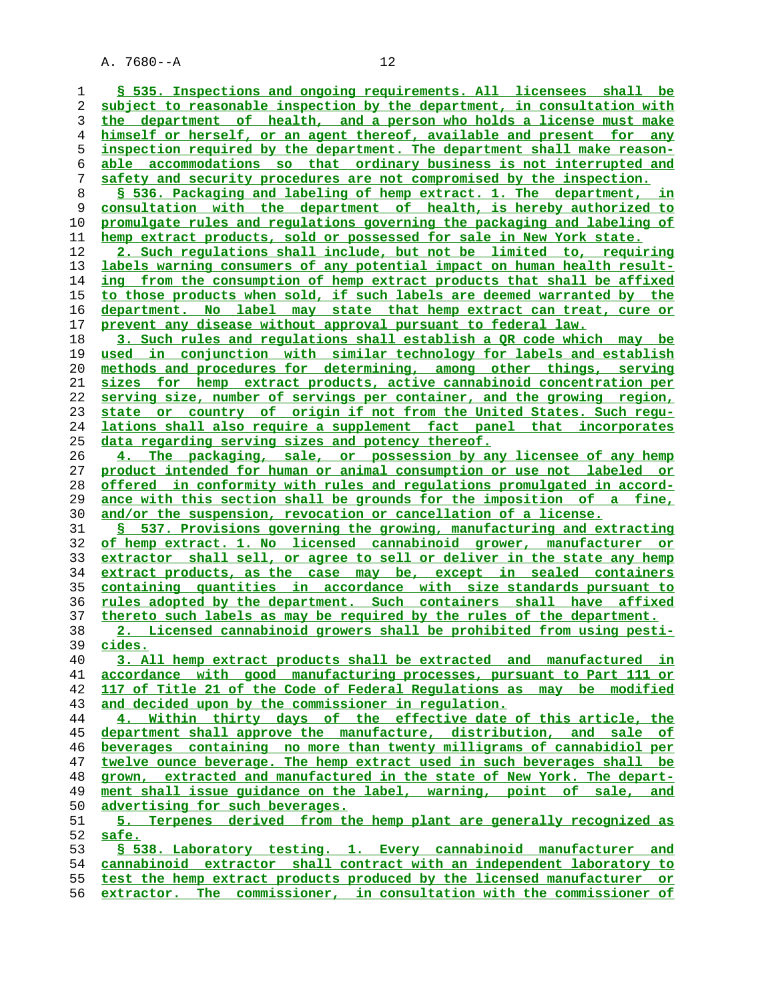**§ 535. Inspections and ongoing requirements. All licensees shall be subject to reasonable inspection by the department, in consultation with the department of health, and a person who holds a license must make himself or herself, or an agent thereof, available and present for any inspection required by the department. The department shall make reason- able accommodations so that ordinary business is not interrupted and safety and security procedures are not compromised by the inspection. § 536. Packaging and labeling of hemp extract. 1. The department, in consultation with the department of health, is hereby authorized to promulgate rules and regulations governing the packaging and labeling of hemp extract products, sold or possessed for sale in New York state. 2. Such regulations shall include, but not be limited to, requiring labels warning consumers of any potential impact on human health result- ing from the consumption of hemp extract products that shall be affixed to those products when sold, if such labels are deemed warranted by the department. No label may state that hemp extract can treat, cure or prevent any disease without approval pursuant to federal law. 3. Such rules and regulations shall establish a QR code which may be used in conjunction with similar technology for labels and establish methods and procedures for determining, among other things, serving sizes for hemp extract products, active cannabinoid concentration per serving size, number of servings per container, and the growing region, state or country of origin if not from the United States. Such regu- lations shall also require a supplement fact panel that incorporates data regarding serving sizes and potency thereof. 4. The packaging, sale, or possession by any licensee of any hemp product intended for human or animal consumption or use not labeled or offered in conformity with rules and regulations promulgated in accord- ance with this section shall be grounds for the imposition of a fine, and/or the suspension, revocation or cancellation of a license. § 537. Provisions governing the growing, manufacturing and extracting of hemp extract. 1. No licensed cannabinoid grower, manufacturer or extractor shall sell, or agree to sell or deliver in the state any hemp extract products, as the case may be, except in sealed containers containing quantities in accordance with size standards pursuant to rules adopted by the department. Such containers shall have affixed thereto such labels as may be required by the rules of the department. 2. Licensed cannabinoid growers shall be prohibited from using pesti- cides. 3. All hemp extract products shall be extracted and manufactured in accordance with good manufacturing processes, pursuant to Part 111 or 117 of Title 21 of the Code of Federal Regulations as may be modified and decided upon by the commissioner in regulation. 4. Within thirty days of the effective date of this article, the department shall approve the manufacture, distribution, and sale of beverages containing no more than twenty milligrams of cannabidiol per twelve ounce beverage. The hemp extract used in such beverages shall be grown, extracted and manufactured in the state of New York. The depart- ment shall issue guidance on the label, warning, point of sale, and advertising for such beverages. 5. Terpenes derived from the hemp plant are generally recognized as safe. § 538. Laboratory testing. 1. Every cannabinoid manufacturer and cannabinoid extractor shall contract with an independent laboratory to test the hemp extract products produced by the licensed manufacturer or extractor. The commissioner, in consultation with the commissioner of**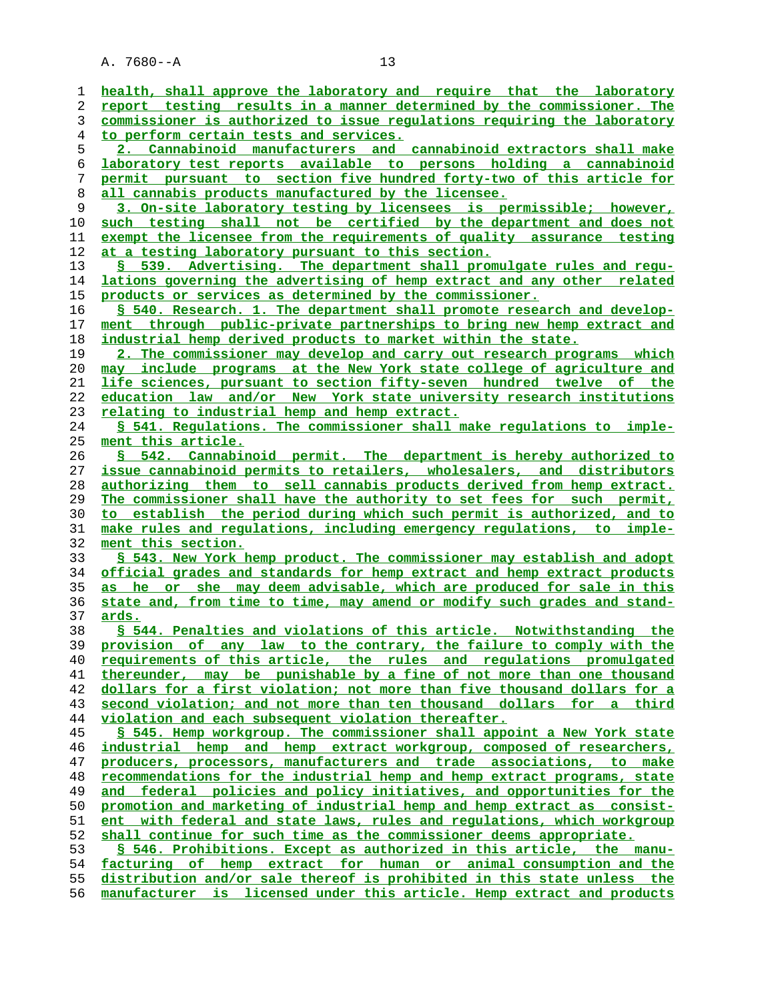**health, shall approve the laboratory and require that the laboratory report testing results in a manner determined by the commissioner. The commissioner is authorized to issue regulations requiring the laboratory to perform certain tests and services. 2. Cannabinoid manufacturers and cannabinoid extractors shall make laboratory test reports available to persons holding a cannabinoid permit pursuant to section five hundred forty-two of this article for all cannabis products manufactured by the licensee. 3. On-site laboratory testing by licensees is permissible; however, such testing shall not be certified by the department and does not exempt the licensee from the requirements of quality assurance testing at a testing laboratory pursuant to this section. § 539. Advertising. The department shall promulgate rules and regu- lations governing the advertising of hemp extract and any other related products or services as determined by the commissioner. § 540. Research. 1. The department shall promote research and develop- ment through public-private partnerships to bring new hemp extract and industrial hemp derived products to market within the state. 2. The commissioner may develop and carry out research programs which may include programs at the New York state college of agriculture and life sciences, pursuant to section fifty-seven hundred twelve of the education law and/or New York state university research institutions relating to industrial hemp and hemp extract. § 541. Regulations. The commissioner shall make regulations to imple- ment this article. § 542. Cannabinoid permit. The department is hereby authorized to issue cannabinoid permits to retailers, wholesalers, and distributors authorizing them to sell cannabis products derived from hemp extract. The commissioner shall have the authority to set fees for such permit, to establish the period during which such permit is authorized, and to make rules and regulations, including emergency regulations, to imple- ment this section. § 543. New York hemp product. The commissioner may establish and adopt official grades and standards for hemp extract and hemp extract products as he or she may deem advisable, which are produced for sale in this state and, from time to time, may amend or modify such grades and stand- ards. § 544. Penalties and violations of this article. Notwithstanding the provision of any law to the contrary, the failure to comply with the requirements of this article, the rules and regulations promulgated thereunder, may be punishable by a fine of not more than one thousand dollars for a first violation; not more than five thousand dollars for a second violation; and not more than ten thousand dollars for a third violation and each subsequent violation thereafter. § 545. Hemp workgroup. The commissioner shall appoint a New York state industrial hemp and hemp extract workgroup, composed of researchers, producers, processors, manufacturers and trade associations, to make recommendations for the industrial hemp and hemp extract programs, state and federal policies and policy initiatives, and opportunities for the promotion and marketing of industrial hemp and hemp extract as consist- ent with federal and state laws, rules and regulations, which workgroup shall continue for such time as the commissioner deems appropriate. § 546. Prohibitions. Except as authorized in this article, the manu- facturing of hemp extract for human or animal consumption and the distribution and/or sale thereof is prohibited in this state unless the manufacturer is licensed under this article. Hemp extract and products**